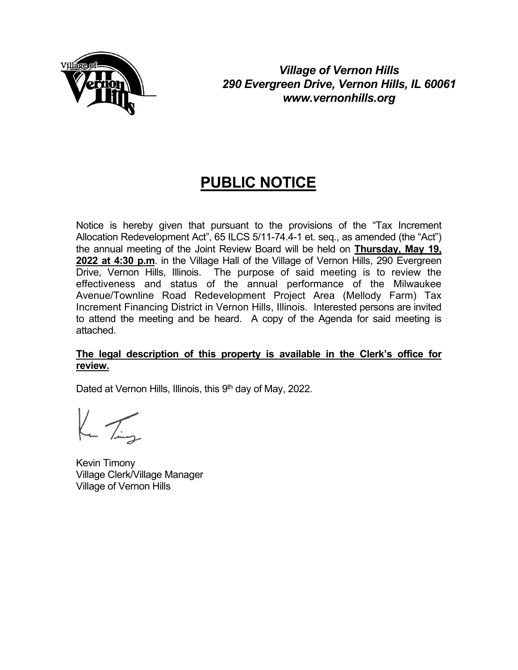

*Village of Vernon Hills 290 Evergreen Drive, Vernon Hills, IL 60061 www.vernonhills.org*

# **PUBLIC NOTICE**

Notice is hereby given that pursuant to the provisions of the "Tax Increment Allocation Redevelopment Act", 65 ILCS 5/11-74.4-1 et. seq., as amended (the "Act") the annual meeting of the Joint Review Board will be held on **Thursday, May 19, 2022 at 4:30 p.m**. in the Village Hall of the Village of Vernon Hills, 290 Evergreen Drive, Vernon Hills, Illinois. The purpose of said meeting is to review the effectiveness and status of the annual performance of the Milwaukee Avenue/Townline Road Redevelopment Project Area (Mellody Farm) Tax Increment Financing District in Vernon Hills, Illinois. Interested persons are invited to attend the meeting and be heard. A copy of the Agenda for said meeting is attached.

#### **The legal description of this property is available in the Clerk's office for review.**

Dated at Vernon Hills, Illinois, this 9<sup>th</sup> day of May, 2022.

 $K_{\rm m}$  /  $\overline{K_{\rm min}}$ 

Kevin Timony Village Clerk/Village Manager Village of Vernon Hills